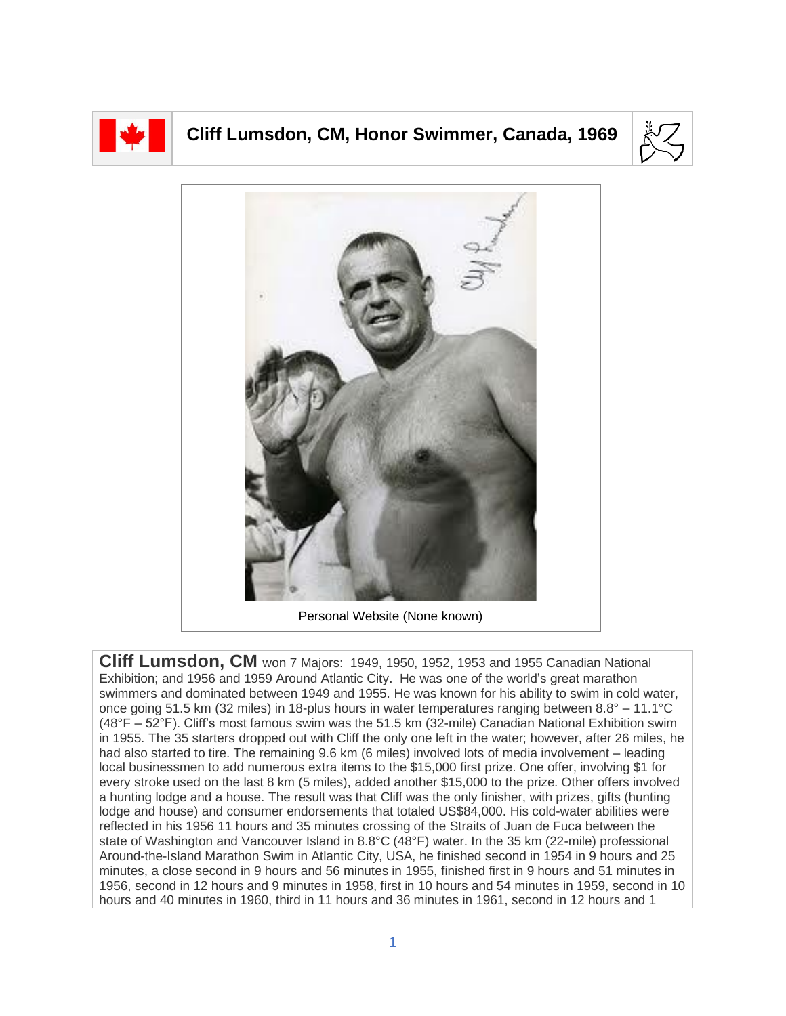

## **Cliff Lumsdon, CM, Honor Swimmer, Canada, 1969**





**Cliff Lumsdon, CM** won 7 Majors: 1949, 1950, 1952, 1953 and 1955 Canadian National Exhibition; and 1956 and 1959 Around Atlantic City. He was one of the world's great marathon swimmers and dominated between 1949 and 1955. He was known for his ability to swim in cold water, once going 51.5 km (32 miles) in 18-plus hours in water temperatures ranging between 8.8° – 11.1°C (48°F – 52°F). Cliff's most famous swim was the 51.5 km (32-mile) Canadian National Exhibition swim in 1955. The 35 starters dropped out with Cliff the only one left in the water; however, after 26 miles, he had also started to tire. The remaining 9.6 km (6 miles) involved lots of media involvement – leading local businessmen to add numerous extra items to the \$15,000 first prize. One offer, involving \$1 for every stroke used on the last 8 km (5 miles), added another \$15,000 to the prize. Other offers involved a hunting lodge and a house. The result was that Cliff was the only finisher, with prizes, gifts (hunting lodge and house) and consumer endorsements that totaled US\$84,000. His cold-water abilities were reflected in his 1956 11 hours and 35 minutes crossing of the Straits of Juan de Fuca between the state of Washington and Vancouver Island in 8.8°C (48°F) water. In the 35 km (22-mile) professional Around-the-Island Marathon Swim in Atlantic City, USA, he finished second in 1954 in 9 hours and 25 minutes, a close second in 9 hours and 56 minutes in 1955, finished first in 9 hours and 51 minutes in 1956, second in 12 hours and 9 minutes in 1958, first in 10 hours and 54 minutes in 1959, second in 10 hours and 40 minutes in 1960, third in 11 hours and 36 minutes in 1961, second in 12 hours and 1